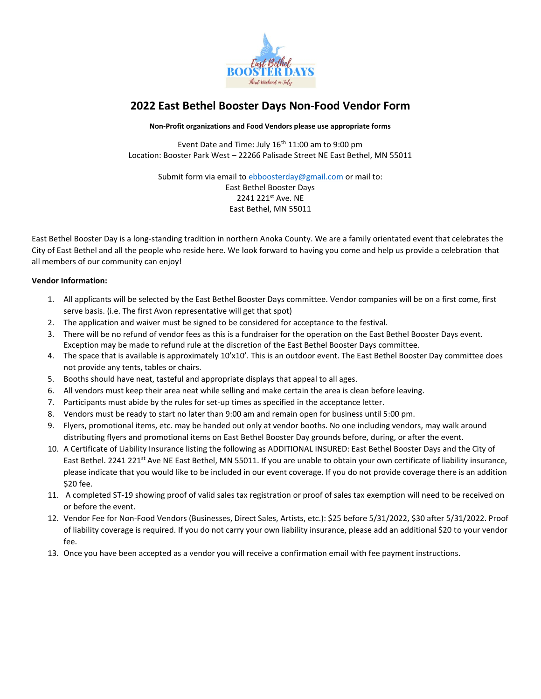

# **2022 East Bethel Booster Days Non-Food Vendor Form**

#### **Non-Profit organizations and Food Vendors please use appropriate forms**

Event Date and Time: July  $16<sup>th</sup> 11:00$  am to 9:00 pm Location: Booster Park West – 22266 Palisade Street NE East Bethel, MN 55011

Submit form via email t[o ebboosterday@gmail.com](mailto:ebboosterday@gmail.com) or mail to:

#### East Bethel Booster Days 2241 221st Ave. NE East Bethel, MN 55011

East Bethel Booster Day is a long-standing tradition in northern Anoka County. We are a family orientated event that celebrates the City of East Bethel and all the people who reside here. We look forward to having you come and help us provide a celebration that all members of our community can enjoy!

### **Vendor Information:**

- 1. All applicants will be selected by the East Bethel Booster Days committee. Vendor companies will be on a first come, first serve basis. (i.e. The first Avon representative will get that spot)
- 2. The application and waiver must be signed to be considered for acceptance to the festival.
- 3. There will be no refund of vendor fees as this is a fundraiser for the operation on the East Bethel Booster Days event. Exception may be made to refund rule at the discretion of the East Bethel Booster Days committee.
- 4. The space that is available is approximately 10'x10'. This is an outdoor event. The East Bethel Booster Day committee does not provide any tents, tables or chairs.
- 5. Booths should have neat, tasteful and appropriate displays that appeal to all ages.
- 6. All vendors must keep their area neat while selling and make certain the area is clean before leaving.
- 7. Participants must abide by the rules for set-up times as specified in the acceptance letter.
- 8. Vendors must be ready to start no later than 9:00 am and remain open for business until 5:00 pm.
- 9. Flyers, promotional items, etc. may be handed out only at vendor booths. No one including vendors, may walk around distributing flyers and promotional items on East Bethel Booster Day grounds before, during, or after the event.
- 10. A Certificate of Liability Insurance listing the following as ADDITIONAL INSURED: East Bethel Booster Days and the City of East Bethel. 2241 221<sup>st</sup> Ave NE East Bethel, MN 55011. If you are unable to obtain your own certificate of liability insurance, please indicate that you would like to be included in our event coverage. If you do not provide coverage there is an addition \$20 fee.
- 11. A completed ST-19 showing proof of valid sales tax registration or proof of sales tax exemption will need to be received on or before the event.
- 12. Vendor Fee for Non-Food Vendors (Businesses, Direct Sales, Artists, etc.): \$25 before 5/31/2022, \$30 after 5/31/2022. Proof of liability coverage is required. If you do not carry your own liability insurance, please add an additional \$20 to your vendor fee.
- 13. Once you have been accepted as a vendor you will receive a confirmation email with fee payment instructions.